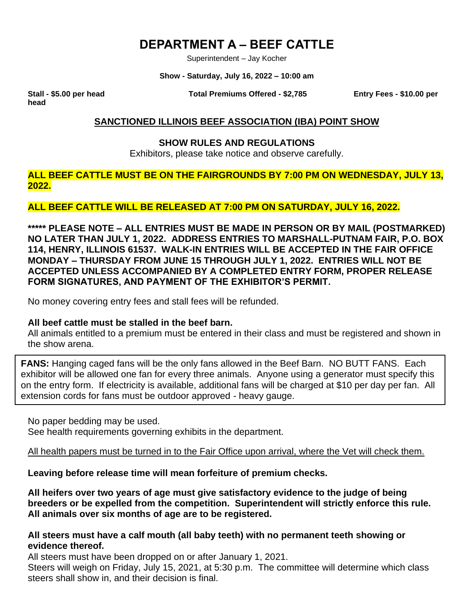# **DEPARTMENT A – BEEF CATTLE**

Superintendent – Jay Kocher

**Show - Saturday, July 16, 2022 – 10:00 am**

**head**

**Stall - \$5.00 per head Total Premiums Offered - \$2,785 Entry Fees - \$10.00 per** 

### **SANCTIONED ILLINOIS BEEF ASSOCIATION (IBA) POINT SHOW**

#### **SHOW RULES AND REGULATIONS**

Exhibitors, please take notice and observe carefully.

**ALL BEEF CATTLE MUST BE ON THE FAIRGROUNDS BY 7:00 PM ON WEDNESDAY, JULY 13, 2022.**

## **ALL BEEF CATTLE WILL BE RELEASED AT 7:00 PM ON SATURDAY, JULY 16, 2022.**

**\*\*\*\*\* PLEASE NOTE – ALL ENTRIES MUST BE MADE IN PERSON OR BY MAIL (POSTMARKED) NO LATER THAN JULY 1, 2022. ADDRESS ENTRIES TO MARSHALL-PUTNAM FAIR, P.O. BOX 114, HENRY, ILLINOIS 61537. WALK-IN ENTRIES WILL BE ACCEPTED IN THE FAIR OFFICE MONDAY – THURSDAY FROM JUNE 15 THROUGH JULY 1, 2022. ENTRIES WILL NOT BE ACCEPTED UNLESS ACCOMPANIED BY A COMPLETED ENTRY FORM, PROPER RELEASE FORM SIGNATURES, AND PAYMENT OF THE EXHIBITOR'S PERMIT.**

No money covering entry fees and stall fees will be refunded.

#### **All beef cattle must be stalled in the beef barn.**

All animals entitled to a premium must be entered in their class and must be registered and shown in the show arena.

**FANS:** Hanging caged fans will be the only fans allowed in the Beef Barn. NO BUTT FANS. Each exhibitor will be allowed one fan for every three animals. Anyone using a generator must specify this on the entry form. If electricity is available, additional fans will be charged at \$10 per day per fan. All extension cords for fans must be outdoor approved - heavy gauge.

No paper bedding may be used.

See health requirements governing exhibits in the department.

All health papers must be turned in to the Fair Office upon arrival, where the Vet will check them.

**Leaving before release time will mean forfeiture of premium checks.**

**All heifers over two years of age must give satisfactory evidence to the judge of being breeders or be expelled from the competition. Superintendent will strictly enforce this rule. All animals over six months of age are to be registered.**

## **All steers must have a calf mouth (all baby teeth) with no permanent teeth showing or evidence thereof.**

All steers must have been dropped on or after January 1, 2021.

Steers will weigh on Friday, July 15, 2021, at 5:30 p.m. The committee will determine which class steers shall show in, and their decision is final.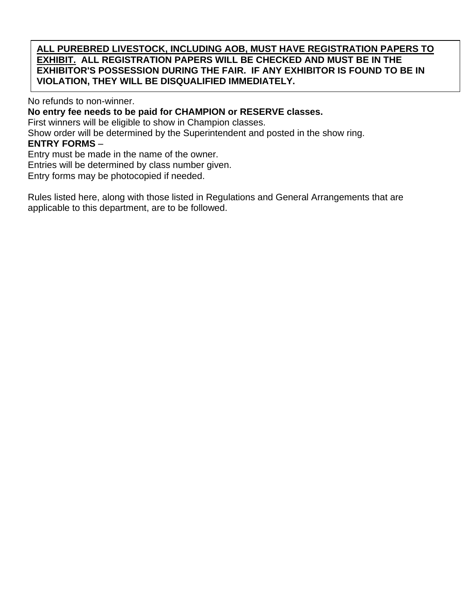**ALL PUREBRED LIVESTOCK, INCLUDING AOB, MUST HAVE REGISTRATION PAPERS TO EXHIBIT. ALL REGISTRATION PAPERS WILL BE CHECKED AND MUST BE IN THE EXHIBITOR'S POSSESSION DURING THE FAIR. IF ANY EXHIBITOR IS FOUND TO BE IN VIOLATION, THEY WILL BE DISQUALIFIED IMMEDIATELY.**

No refunds to non-winner.

**No entry fee needs to be paid for CHAMPION or RESERVE classes.**

First winners will be eligible to show in Champion classes.

Show order will be determined by the Superintendent and posted in the show ring.

#### **ENTRY FORMS** –

Entry must be made in the name of the owner.

Entries will be determined by class number given.

Entry forms may be photocopied if needed.

Rules listed here, along with those listed in Regulations and General Arrangements that are applicable to this department, are to be followed.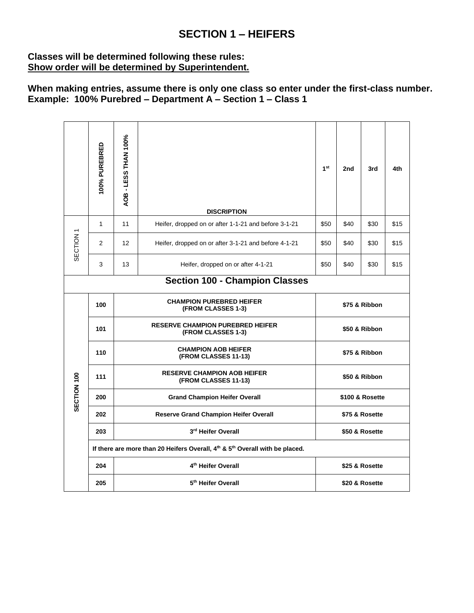## **SECTION 1 – HEIFERS**

## **Classes will be determined following these rules: Show order will be determined by Superintendent.**

**When making entries, assume there is only one class so enter under the first-class number. Example: 100% Purebred – Department A – Section 1 – Class 1**

|                                       | 100% PUREBRED                                                                                        | AOB - LESS THAN 100%                                          | <b>DISCRIPTION</b>                                         | 1 <sup>st</sup> | 2nd            | 3rd  | 4th  |  |  |
|---------------------------------------|------------------------------------------------------------------------------------------------------|---------------------------------------------------------------|------------------------------------------------------------|-----------------|----------------|------|------|--|--|
| SECTION <sub>1</sub>                  | $\mathbf{1}$                                                                                         | 11<br>Heifer, dropped on or after 1-1-21 and before 3-1-21    |                                                            | \$50            | \$40           | \$30 | \$15 |  |  |
|                                       | 2                                                                                                    | 12                                                            | Heifer, dropped on or after 3-1-21 and before 4-1-21       | \$50            | \$40           | \$30 | \$15 |  |  |
|                                       | 3                                                                                                    | 13                                                            | Heifer, dropped on or after 4-1-21                         | \$50            | \$40           | \$30 | \$15 |  |  |
| <b>Section 100 - Champion Classes</b> |                                                                                                      |                                                               |                                                            |                 |                |      |      |  |  |
| SECTION 100                           | 100                                                                                                  | <b>CHAMPION PUREBRED HEIFER</b><br>(FROM CLASSES 1-3)         |                                                            |                 | \$75 & Ribbon  |      |      |  |  |
|                                       | 101                                                                                                  | <b>RESERVE CHAMPION PUREBRED HEIFER</b><br>(FROM CLASSES 1-3) |                                                            |                 | \$50 & Ribbon  |      |      |  |  |
|                                       | 110                                                                                                  | <b>CHAMPION AOB HEIFER</b><br>(FROM CLASSES 11-13)            |                                                            |                 | \$75 & Ribbon  |      |      |  |  |
|                                       | 111                                                                                                  |                                                               | <b>RESERVE CHAMPION AOB HEIFER</b><br>(FROM CLASSES 11-13) | \$50 & Ribbon   |                |      |      |  |  |
|                                       | 200                                                                                                  |                                                               | <b>Grand Champion Heifer Overall</b>                       | \$100 & Rosette |                |      |      |  |  |
|                                       | 202                                                                                                  |                                                               | <b>Reserve Grand Champion Heifer Overall</b>               | \$75 & Rosette  |                |      |      |  |  |
|                                       | 203                                                                                                  |                                                               | 3rd Heifer Overall                                         | \$50 & Rosette  |                |      |      |  |  |
|                                       | If there are more than 20 Heifers Overall, 4 <sup>th</sup> & 5 <sup>th</sup> Overall with be placed. |                                                               |                                                            |                 |                |      |      |  |  |
|                                       | 204                                                                                                  |                                                               | 4 <sup>th</sup> Heifer Overall                             | \$25 & Rosette  |                |      |      |  |  |
|                                       | 205                                                                                                  | 5 <sup>th</sup> Heifer Overall                                |                                                            |                 | \$20 & Rosette |      |      |  |  |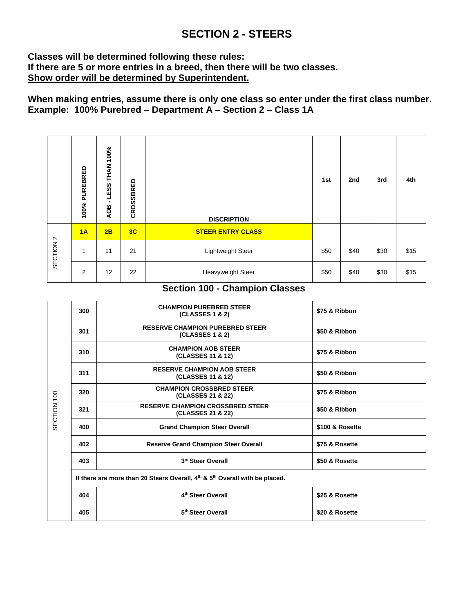## **SECTION 2 - STEERS**

## **Classes will be determined following these rules: If there are 5 or more entries in a breed, then there will be two classes. Show order will be determined by Superintendent.**

## **When making entries, assume there is only one class so enter under the first class number. Example: 100% Purebred – Department A – Section 2 – Class 1A**

|                      | PUREBRED<br>100% | 100%<br>LESS THAN<br>٠<br>AOB | CROSSBRED | <b>DISCRIPTION</b>       | 1st  | 2nd  | 3rd  | 4th  |
|----------------------|------------------|-------------------------------|-----------|--------------------------|------|------|------|------|
| SECTION <sub>2</sub> | 1A               | 2B                            | 3C        | <b>STEER ENTRY CLASS</b> |      |      |      |      |
|                      | 1                | 11                            | 21        | Lightweight Steer        | \$50 | \$40 | \$30 | \$15 |
|                      | 2                | 12                            | 22        | Heavyweight Steer        | \$50 | \$40 | \$30 | \$15 |

## **Section 100 - Champion Classes**

|             | 300                                                                         | <b>CHAMPION PUREBRED STEER</b><br>(CLASSES 1 & 2)            | \$75 & Ribbon   |  |  |  |  |
|-------------|-----------------------------------------------------------------------------|--------------------------------------------------------------|-----------------|--|--|--|--|
|             | 301                                                                         | <b>RESERVE CHAMPION PUREBRED STEER</b><br>(CLASSES 1 & 2)    | \$50 & Ribbon   |  |  |  |  |
|             | 310                                                                         | <b>CHAMPION AOB STEER</b><br>(CLASSES 11 & 12)               | \$75 & Ribbon   |  |  |  |  |
|             | 311                                                                         | <b>RESERVE CHAMPION AOB STEER</b><br>(CLASSES 11 & 12)       | \$50 & Ribbon   |  |  |  |  |
|             | 320                                                                         | <b>CHAMPION CROSSBRED STEER</b><br>(CLASSES 21 & 22)         | \$75 & Ribbon   |  |  |  |  |
| SECTION 100 | 321                                                                         | <b>RESERVE CHAMPION CROSSBRED STEER</b><br>(CLASSES 21 & 22) | \$50 & Ribbon   |  |  |  |  |
|             | 400                                                                         | <b>Grand Champion Steer Overall</b>                          | \$100 & Rosette |  |  |  |  |
|             | 402                                                                         | <b>Reserve Grand Champion Steer Overall</b>                  | \$75 & Rosette  |  |  |  |  |
|             | 403                                                                         | 3rd Steer Overall                                            | \$50 & Rosette  |  |  |  |  |
|             | If there are more than 20 Steers Overall, 4th & 5th Overall with be placed. |                                                              |                 |  |  |  |  |
|             | 404                                                                         | 4 <sup>th</sup> Steer Overall                                | \$25 & Rosette  |  |  |  |  |
|             | 405                                                                         | 5 <sup>th</sup> Steer Overall                                | \$20 & Rosette  |  |  |  |  |